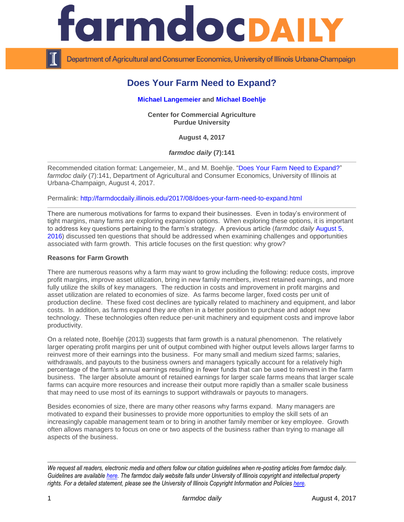

Department of Agricultural and Consumer Economics, University of Illinois Urbana-Champaign

# **Does Your Farm Need to Expand?**

## **[Michael Langemeier](https://ag.purdue.edu/commercialag/Pages/Faculty-Staff/Langemeier.aspx) and [Michael Boehlje](https://ag.purdue.edu/commercialag/Pages/Faculty-Staff/Boehlje.aspx)**

**Center for Commercial Agriculture Purdue University**

**August 4, 2017**

*farmdoc daily* **(7):141**

Recommended citation format: Langemeier, M., and M. Boehlje. ["Does Your Farm Need to Expand?"](http://farmdocdaily.illinois.edu/2017/08/does-your-farm-need-to-expand.html) *farmdoc daily* (7):141, Department of Agricultural and Consumer Economics, University of Illinois at Urbana-Champaign, August 4, 2017.

Permalink:<http://farmdocdaily.illinois.edu/2017/08/does-your-farm-need-to-expand.html>

There are numerous motivations for farms to expand their businesses. Even in today's environment of tight margins, many farms are exploring expansion options. When exploring these options, it is important to address key questions pertaining to the farm's strategy. A previous article (*farmdoc daily* [August 5,](http://farmdocdaily.illinois.edu/2016/08/farm-growth-challenges-and-opportunities.html)  [2016\)](http://farmdocdaily.illinois.edu/2016/08/farm-growth-challenges-and-opportunities.html) discussed ten questions that should be addressed when examining challenges and opportunities associated with farm growth. This article focuses on the first question: why grow?

#### **Reasons for Farm Growth**

There are numerous reasons why a farm may want to grow including the following: reduce costs, improve profit margins, improve asset utilization, bring in new family members, invest retained earnings, and more fully utilize the skills of key managers. The reduction in costs and improvement in profit margins and asset utilization are related to economies of size. As farms become larger, fixed costs per unit of production decline. These fixed cost declines are typically related to machinery and equipment, and labor costs. In addition, as farms expand they are often in a better position to purchase and adopt new technology. These technologies often reduce per-unit machinery and equipment costs and improve labor productivity.

On a related note, Boehlje (2013) suggests that farm growth is a natural phenomenon. The relatively larger operating profit margins per unit of output combined with higher output levels allows larger farms to reinvest more of their earnings into the business. For many small and medium sized farms; salaries, withdrawals, and payouts to the business owners and managers typically account for a relatively high percentage of the farm's annual earnings resulting in fewer funds that can be used to reinvest in the farm business. The larger absolute amount of retained earnings for larger scale farms means that larger scale farms can acquire more resources and increase their output more rapidly than a smaller scale business that may need to use most of its earnings to support withdrawals or payouts to managers.

Besides economies of size, there are many other reasons why farms expand. Many managers are motivated to expand their businesses to provide more opportunities to employ the skill sets of an increasingly capable management team or to bring in another family member or key employee. Growth often allows managers to focus on one or two aspects of the business rather than trying to manage all aspects of the business.

*We request all readers, electronic media and others follow our citation guidelines when re-posting articles from farmdoc daily. Guidelines are available [here.](http://farmdocdaily.illinois.edu/citationguide.html) The farmdoc daily website falls under University of Illinois copyright and intellectual property rights. For a detailed statement, please see the University of Illinois Copyright Information and Policies [here.](http://www.cio.illinois.edu/policies/copyright/)*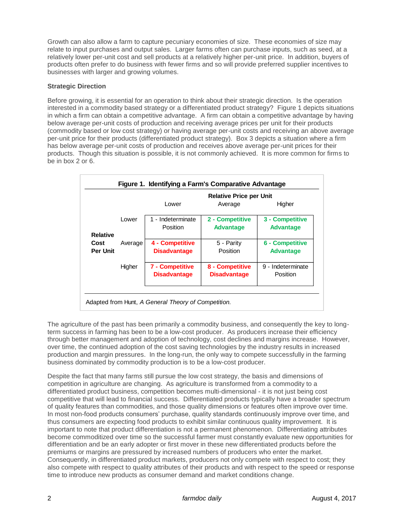Growth can also allow a farm to capture pecuniary economies of size. These economies of size may relate to input purchases and output sales. Larger farms often can purchase inputs, such as seed, at a relatively lower per-unit cost and sell products at a relatively higher per-unit price. In addition, buyers of products often prefer to do business with fewer firms and so will provide preferred supplier incentives to businesses with larger and growing volumes.

## **Strategic Direction**

Before growing, it is essential for an operation to think about their strategic direction. Is the operation interested in a commodity based strategy or a differentiated product strategy? Figure 1 depicts situations in which a firm can obtain a competitive advantage. A firm can obtain a competitive advantage by having below average per-unit costs of production and receiving average prices per unit for their products (commodity based or low cost strategy) or having average per-unit costs and receiving an above average per-unit price for their products (differentiated product strategy). Box 3 depicts a situation where a firm has below average per-unit costs of production and receives above average per-unit prices for their products. Though this situation is possible, it is not commonly achieved. It is more common for firms to be in box 2 or 6.

|                         |         | <b>Relative Price per Unit</b>         |                                        |                                     |
|-------------------------|---------|----------------------------------------|----------------------------------------|-------------------------------------|
|                         |         | Lower                                  | Average                                | Higher                              |
| <b>Relative</b>         | Lower   | 1 - Indeterminate<br>Position          | 2 - Competitive<br><b>Advantage</b>    | 3 - Competitive<br><b>Advantage</b> |
| Cost<br><b>Per Unit</b> | Average | 4 - Competitive<br><b>Disadvantage</b> | 5 - Parity<br>Position                 | 6 - Competitive<br><b>Advantage</b> |
|                         | Higher  | 7 - Competitive<br><b>Disadvantage</b> | 8 - Competitive<br><b>Disadvantage</b> | 9 - Indeterminate<br>Position       |

The agriculture of the past has been primarily a commodity business, and consequently the key to longterm success in farming has been to be a low-cost producer. As producers increase their efficiency through better management and adoption of technology, cost declines and margins increase. However, over time, the continued adoption of the cost saving technologies by the industry results in increased production and margin pressures. In the long-run, the only way to compete successfully in the farming business dominated by commodity production is to be a low-cost producer.

Despite the fact that many farms still pursue the low cost strategy, the basis and dimensions of competition in agriculture are changing. As agriculture is transformed from a commodity to a differentiated product business, competition becomes multi-dimensional - it is not just being cost competitive that will lead to financial success. Differentiated products typically have a broader spectrum of quality features than commodities, and those quality dimensions or features often improve over time. In most non-food products consumers' purchase, quality standards continuously improve over time, and thus consumers are expecting food products to exhibit similar continuous quality improvement. It is important to note that product differentiation is not a permanent phenomenon. Differentiating attributes become commoditized over time so the successful farmer must constantly evaluate new opportunities for differentiation and be an early adopter or first mover in these new differentiated products before the premiums or margins are pressured by increased numbers of producers who enter the market. Consequently, in differentiated product markets, producers not only compete with respect to cost; they also compete with respect to quality attributes of their products and with respect to the speed or response time to introduce new products as consumer demand and market conditions change.